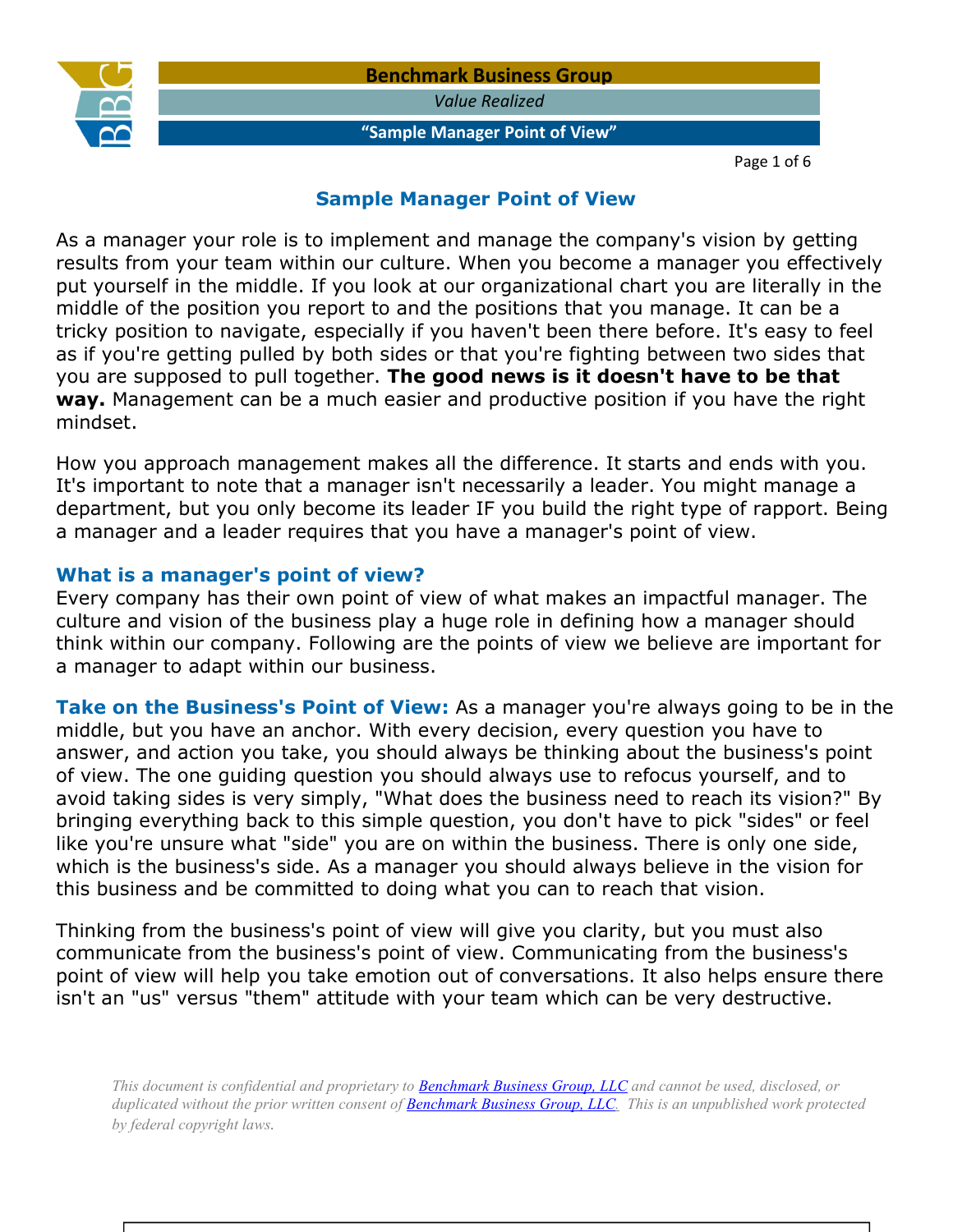

*Value Realized* 

### **"Sample Manager Point of View"**

Page 1 of 6

### **Sample Manager Point of View**

As a manager your role is to implement and manage the company's vision by getting results from your team within our culture. When you become a manager you effectively put yourself in the middle. If you look at our organizational chart you are literally in the middle of the position you report to and the positions that you manage. It can be a tricky position to navigate, especially if you haven't been there before. It's easy to feel as if you're getting pulled by both sides or that you're fighting between two sides that you are supposed to pull together. **The good news is it doesn't have to be that way.** Management can be a much easier and productive position if you have the right mindset.

How you approach management makes all the difference. It starts and ends with you. It's important to note that a manager isn't necessarily a leader. You might manage a department, but you only become its leader IF you build the right type of rapport. Being a manager and a leader requires that you have a manager's point of view.

### **What is a manager's point of view?**

Every company has their own point of view of what makes an impactful manager. The culture and vision of the business play a huge role in defining how a manager should think within our company. Following are the points of view we believe are important for a manager to adapt within our business.

**Take on the Business's Point of View:** As a manager you're always going to be in the middle, but you have an anchor. With every decision, every question you have to answer, and action you take, you should always be thinking about the business's point of view. The one guiding question you should always use to refocus yourself, and to avoid taking sides is very simply, "What does the business need to reach its vision?" By bringing everything back to this simple question, you don't have to pick "sides" or feel like you're unsure what "side" you are on within the business. There is only one side, which is the business's side. As a manager you should always believe in the vision for this business and be committed to doing what you can to reach that vision.

Thinking from the business's point of view will give you clarity, but you must also communicate from the business's point of view. Communicating from the business's point of view will help you take emotion out of conversations. It also helps ensure there isn't an "us" versus "them" attitude with your team which can be very destructive.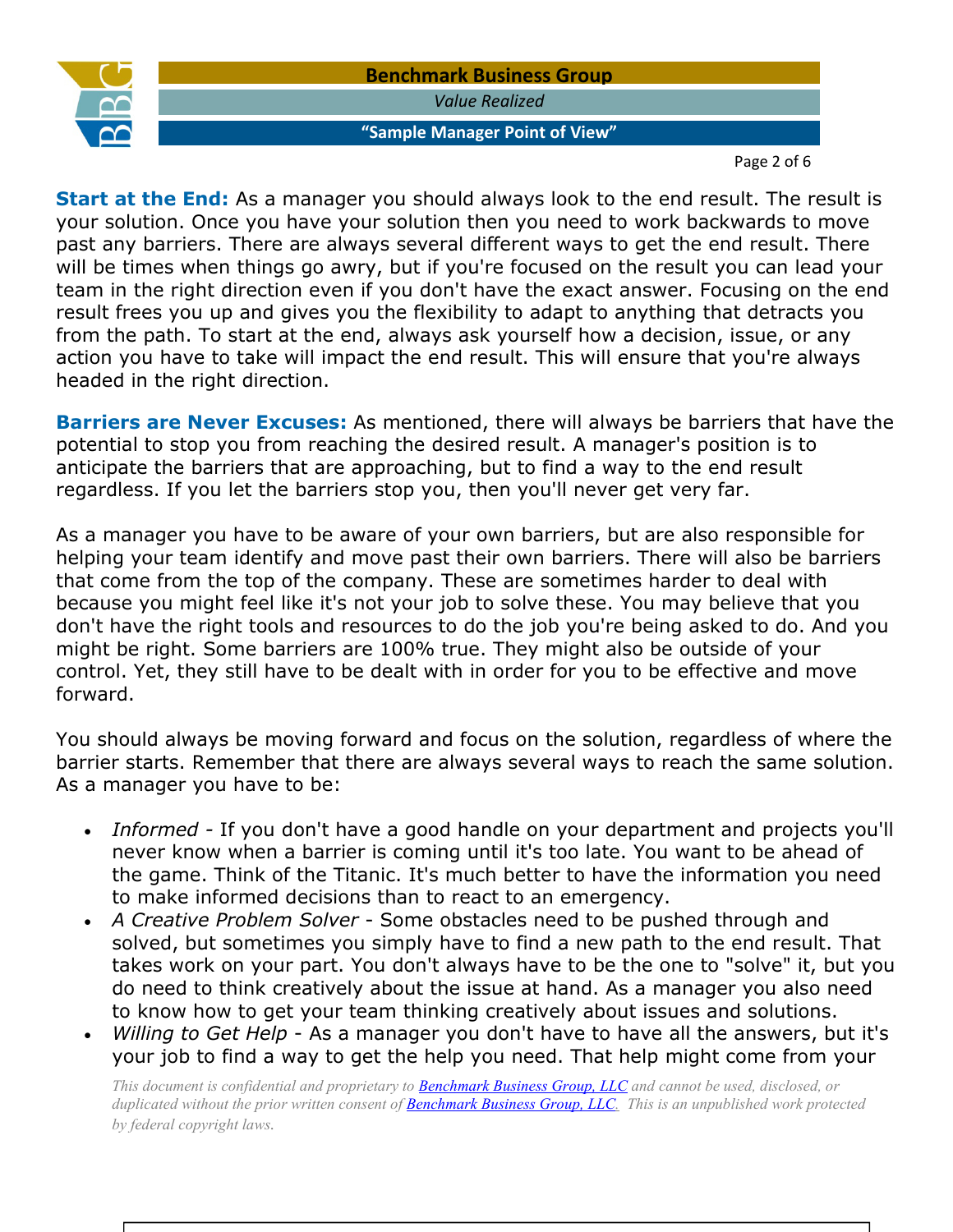

Page 2 of 6

**Start at the End:** As a manager you should always look to the end result. The result is your solution. Once you have your solution then you need to work backwards to move past any barriers. There are always several different ways to get the end result. There will be times when things go awry, but if you're focused on the result you can lead your team in the right direction even if you don't have the exact answer. Focusing on the end result frees you up and gives you the flexibility to adapt to anything that detracts you from the path. To start at the end, always ask yourself how a decision, issue, or any action you have to take will impact the end result. This will ensure that you're always headed in the right direction.

**Barriers are Never Excuses:** As mentioned, there will always be barriers that have the potential to stop you from reaching the desired result. A manager's position is to anticipate the barriers that are approaching, but to find a way to the end result regardless. If you let the barriers stop you, then you'll never get very far.

As a manager you have to be aware of your own barriers, but are also responsible for helping your team identify and move past their own barriers. There will also be barriers that come from the top of the company. These are sometimes harder to deal with because you might feel like it's not your job to solve these. You may believe that you don't have the right tools and resources to do the job you're being asked to do. And you might be right. Some barriers are 100% true. They might also be outside of your control. Yet, they still have to be dealt with in order for you to be effective and move forward.

You should always be moving forward and focus on the solution, regardless of where the barrier starts. Remember that there are always several ways to reach the same solution. As a manager you have to be:

- *Informed -* If you don't have a good handle on your department and projects you'll never know when a barrier is coming until it's too late. You want to be ahead of the game. Think of the Titanic. It's much better to have the information you need to make informed decisions than to react to an emergency.
- *A Creative Problem Solver* Some obstacles need to be pushed through and solved, but sometimes you simply have to find a new path to the end result. That takes work on your part. You don't always have to be the one to "solve" it, but you do need to think creatively about the issue at hand. As a manager you also need to know how to get your team thinking creatively about issues and solutions.
- *Willing to Get Help* As a manager you don't have to have all the answers, but it's your job to find a way to get the help you need. That help might come from your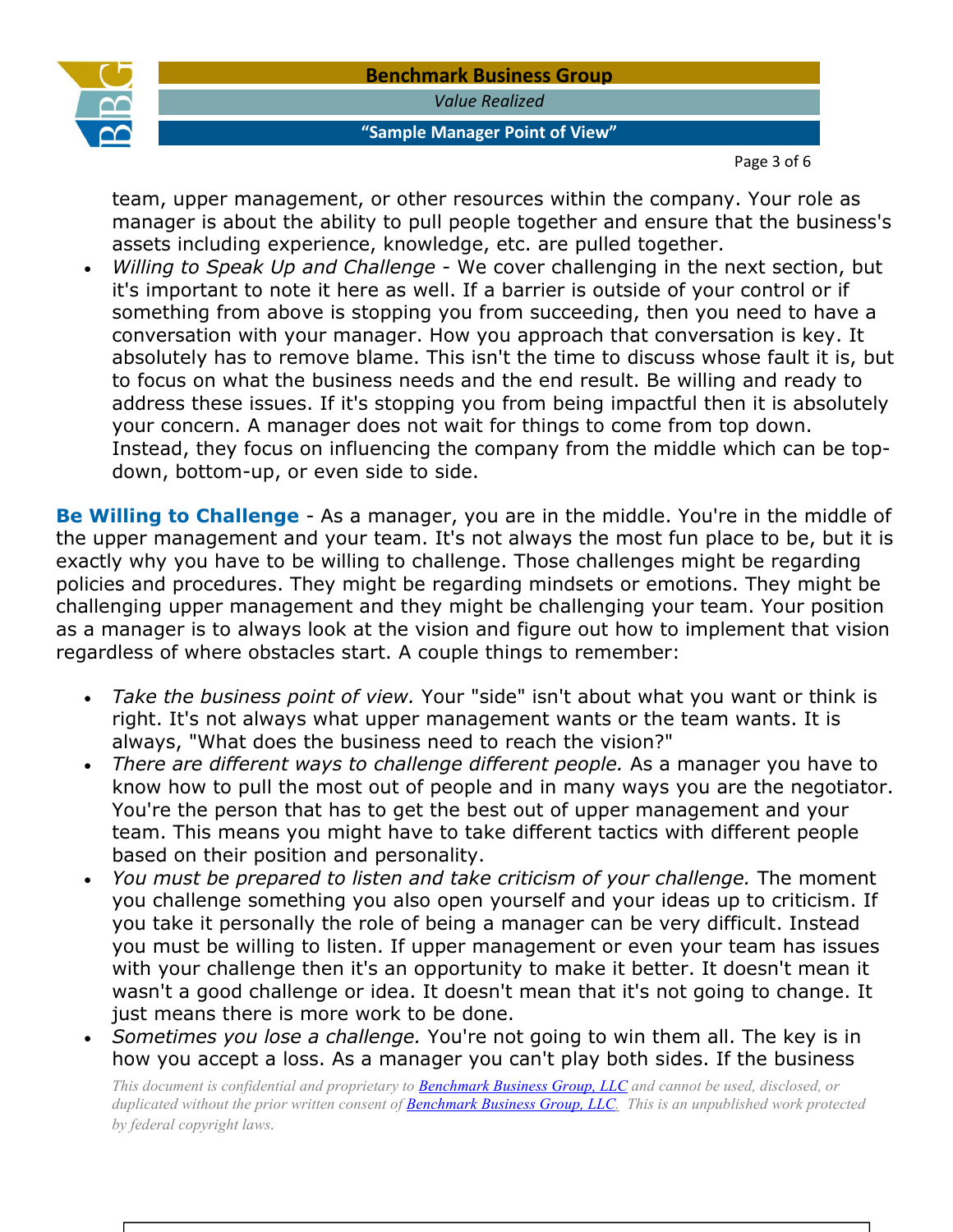

### **Benchmark Business Group** *Value Realized*

### **"Sample Manager Point of View"**

Page 3 of 6

team, upper management, or other resources within the company. Your role as manager is about the ability to pull people together and ensure that the business's assets including experience, knowledge, etc. are pulled together.

• *Willing to Speak Up and Challenge* - We cover challenging in the next section, but it's important to note it here as well. If a barrier is outside of your control or if something from above is stopping you from succeeding, then you need to have a conversation with your manager. How you approach that conversation is key. It absolutely has to remove blame. This isn't the time to discuss whose fault it is, but to focus on what the business needs and the end result. Be willing and ready to address these issues. If it's stopping you from being impactful then it is absolutely your concern. A manager does not wait for things to come from top down. Instead, they focus on influencing the company from the middle which can be topdown, bottom-up, or even side to side.

**Be Willing to Challenge** - As a manager, you are in the middle. You're in the middle of the upper management and your team. It's not always the most fun place to be, but it is exactly why you have to be willing to challenge. Those challenges might be regarding policies and procedures. They might be regarding mindsets or emotions. They might be challenging upper management and they might be challenging your team. Your position as a manager is to always look at the vision and figure out how to implement that vision regardless of where obstacles start. A couple things to remember:

- *Take the business point of view.* Your "side" isn't about what you want or think is right. It's not always what upper management wants or the team wants. It is always, "What does the business need to reach the vision?"
- *There are different ways to challenge different people.* As a manager you have to know how to pull the most out of people and in many ways you are the negotiator. You're the person that has to get the best out of upper management and your team. This means you might have to take different tactics with different people based on their position and personality.
- *You must be prepared to listen and take criticism of your challenge.* The moment you challenge something you also open yourself and your ideas up to criticism. If you take it personally the role of being a manager can be very difficult. Instead you must be willing to listen. If upper management or even your team has issues with your challenge then it's an opportunity to make it better. It doesn't mean it wasn't a good challenge or idea. It doesn't mean that it's not going to change. It just means there is more work to be done.
- *Sometimes you lose a challenge.* You're not going to win them all. The key is in how you accept a loss. As a manager you can't play both sides. If the business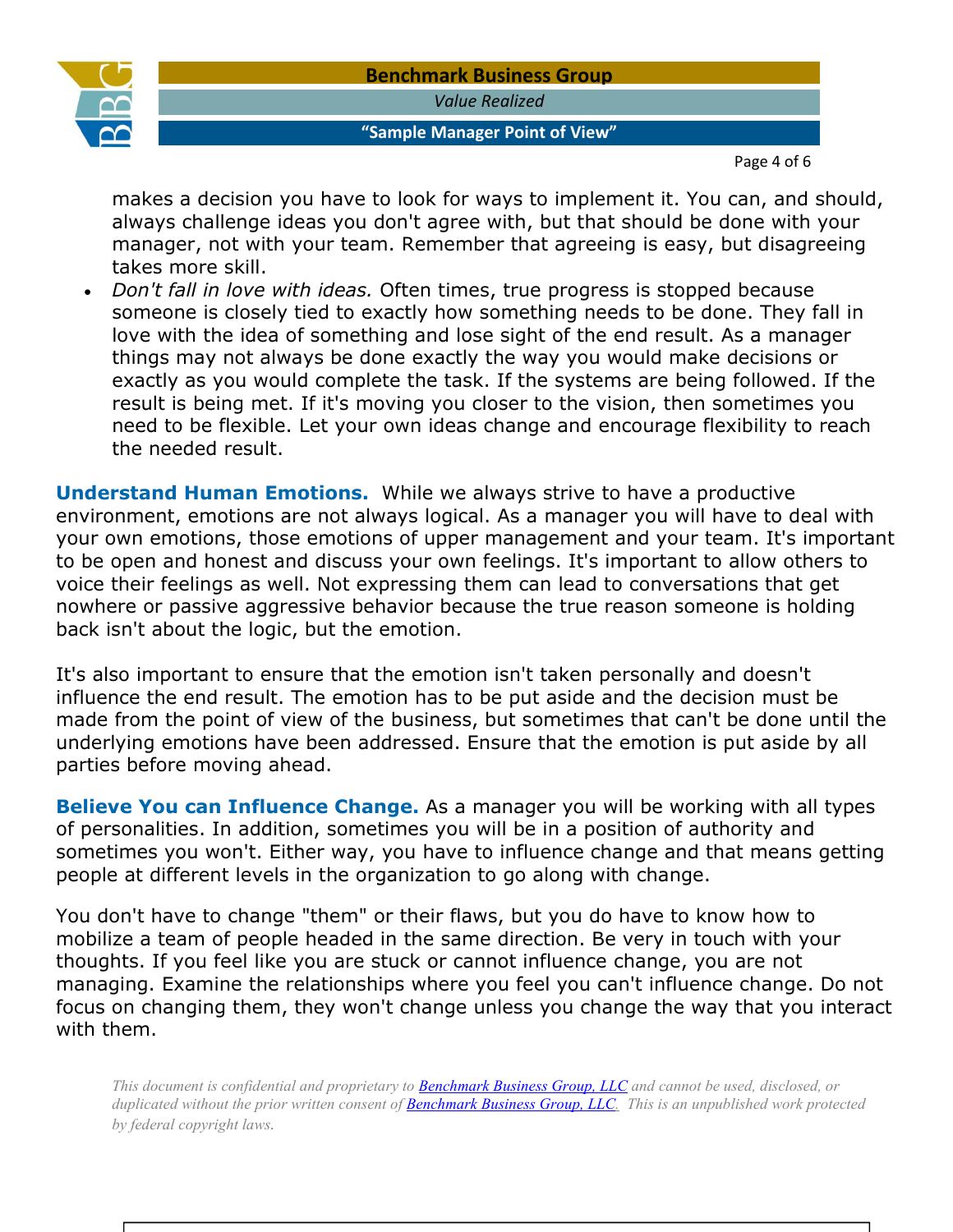

*Value Realized* 

### **"Sample Manager Point of View"**

Page 4 of 6

makes a decision you have to look for ways to implement it. You can, and should, always challenge ideas you don't agree with, but that should be done with your manager, not with your team. Remember that agreeing is easy, but disagreeing takes more skill.

• *Don't fall in love with ideas.* Often times, true progress is stopped because someone is closely tied to exactly how something needs to be done. They fall in love with the idea of something and lose sight of the end result. As a manager things may not always be done exactly the way you would make decisions or exactly as you would complete the task. If the systems are being followed. If the result is being met. If it's moving you closer to the vision, then sometimes you need to be flexible. Let your own ideas change and encourage flexibility to reach the needed result.

**Understand Human Emotions.** While we always strive to have a productive environment, emotions are not always logical. As a manager you will have to deal with your own emotions, those emotions of upper management and your team. It's important to be open and honest and discuss your own feelings. It's important to allow others to voice their feelings as well. Not expressing them can lead to conversations that get nowhere or passive aggressive behavior because the true reason someone is holding back isn't about the logic, but the emotion.

It's also important to ensure that the emotion isn't taken personally and doesn't influence the end result. The emotion has to be put aside and the decision must be made from the point of view of the business, but sometimes that can't be done until the underlying emotions have been addressed. Ensure that the emotion is put aside by all parties before moving ahead.

**Believe You can Influence Change.** As a manager you will be working with all types of personalities. In addition, sometimes you will be in a position of authority and sometimes you won't. Either way, you have to influence change and that means getting people at different levels in the organization to go along with change.

You don't have to change "them" or their flaws, but you do have to know how to mobilize a team of people headed in the same direction. Be very in touch with your thoughts. If you feel like you are stuck or cannot influence change, you are not managing. Examine the relationships where you feel you can't influence change. Do not focus on changing them, they won't change unless you change the way that you interact with them.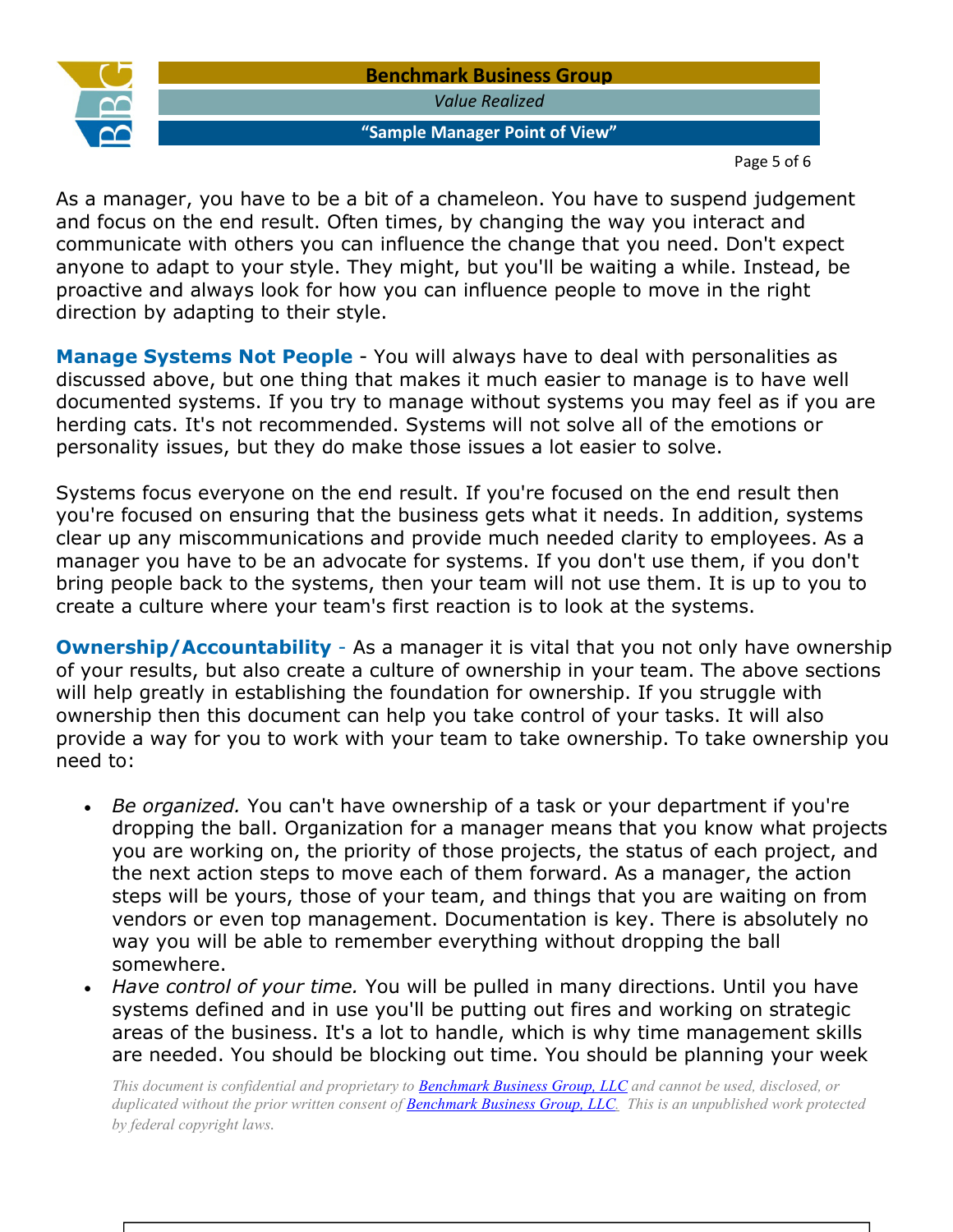*Value Realized* 

### **"Sample Manager Point of View"**

Page 5 of 6

As a manager, you have to be a bit of a chameleon. You have to suspend judgement and focus on the end result. Often times, by changing the way you interact and communicate with others you can influence the change that you need. Don't expect anyone to adapt to your style. They might, but you'll be waiting a while. Instead, be proactive and always look for how you can influence people to move in the right direction by adapting to their style.

**Manage Systems Not People** - You will always have to deal with personalities as discussed above, but one thing that makes it much easier to manage is to have well documented systems. If you try to manage without systems you may feel as if you are herding cats. It's not recommended. Systems will not solve all of the emotions or personality issues, but they do make those issues a lot easier to solve.

Systems focus everyone on the end result. If you're focused on the end result then you're focused on ensuring that the business gets what it needs. In addition, systems clear up any miscommunications and provide much needed clarity to employees. As a manager you have to be an advocate for systems. If you don't use them, if you don't bring people back to the systems, then your team will not use them. It is up to you to create a culture where your team's first reaction is to look at the systems.

**Ownership/Accountability** - As a manager it is vital that you not only have ownership of your results, but also create a culture of ownership in your team. The above sections will help greatly in establishing the foundation for ownership. If you struggle with ownership then this document can help you take control of your tasks. It will also provide a way for you to work with your team to take ownership. To take ownership you need to:

- *Be organized.* You can't have ownership of a task or your department if you're dropping the ball. Organization for a manager means that you know what projects you are working on, the priority of those projects, the status of each project, and the next action steps to move each of them forward. As a manager, the action steps will be yours, those of your team, and things that you are waiting on from vendors or even top management. Documentation is key. There is absolutely no way you will be able to remember everything without dropping the ball somewhere.
- *Have control of your time.* You will be pulled in many directions. Until you have systems defined and in use you'll be putting out fires and working on strategic areas of the business. It's a lot to handle, which is why time management skills are needed. You should be blocking out time. You should be planning your week